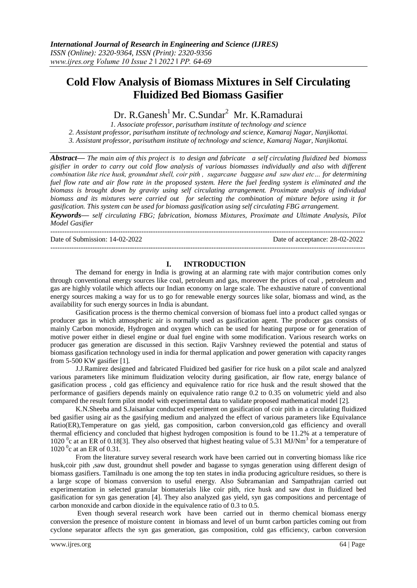# **Cold Flow Analysis of Biomass Mixtures in Self Circulating Fluidized Bed Biomass Gasifier**

Dr. R.Ganesh<sup>1</sup>Mr. C.Sundar<sup>2</sup> Mr. K.Ramadurai

*1. Associate professor, parisutham institute of technology and science 2. Assistant professor, parisutham institute of technology and science, Kamaraj Nagar, Nanjikottai. 3. Assistant professor, parisutham institute of technology and science, Kamaraj Nagar, Nanjikottai.*

*Abstract— The main aim of this project is to design and fabricate a self circulating fluidized bed biomass gisifier in order to carry out cold flow analysis of various biomasses individually and also with different combination like rice husk, groundnut shell, coir pith , sugarcane baggase and saw dust etc… for determining fuel flow rate and air flow rate in the proposed system. Here the fuel feeding system is eliminated and the biomass is brought down by gravity using self circulating arrangement. Proximate analysis of individual biomass and its mixtures were carried out for selecting the combination of mixture before using it for gasification. This system can be used for biomass gasification using self circulating FBG arrangement. Keywords— self circulating FBG; fabrication, biomass Mixtures, Proximate and Ultimate Analysis, Pilot* 

*Model Gasifier*

Date of Submission: 14-02-2022 Date of acceptance: 28-02-2022

---------------------------------------------------------------------------------------------------------------------------------------

#### **I. INTRODUCTION**

---------------------------------------------------------------------------------------------------------------------------------------

The demand for energy in India is growing at an alarming rate with major contribution comes only through conventional energy sources like coal, petroleum and gas, moreover the prices of coal , petroleum and gas are highly volatile which affects our Indian economy on large scale. The exhaustive nature of conventional energy sources making a way for us to go for renewable energy sources like solar, biomass and wind, as the availability for such energy sources in India is abundant.

Gasification process is the thermo chemical conversion of biomass fuel into a product called syngas or producer gas in which atmospheric air is normally used as gasification agent. The producer gas consists of mainly Carbon monoxide, Hydrogen and oxygen which can be used for heating purpose or for generation of motive power either in diesel engine or dual fuel engine with some modification. Various research works on producer gas generation are discussed in this section. Rajiv Varshney reviewed the potential and status of biomass gasification technology used in india for thermal application and power generation with capacity ranges from 5-500 KW gasifier [1].

J.J.Ramirez designed and fabricated Fluidized bed gasifier for rice husk on a pilot scale and analyzed various parameters like minimum fluidization velocity during gasification, air flow rate, energy balance of gasification process , cold gas efficiency and equivalence ratio for rice husk and the result showed that the performance of gasifiers depends mainly on equivalence ratio range 0.2 to 0.35 on volumetric yield and also compared the result form pilot model with experimental data to validate proposed mathematical model [2].

K.N.Sheeba and S.Jaisankar conducted experiment on gasification of coir pith in a circulating fluidized bed gasifier using air as the gasifying medium and analyzed the effect of various parameters like Equivalance Ratio(ER),Temperature on gas yield, gas composition, carbon conversion,cold gas efficiency and overall thermal efficiency and concluded that highest hydrogen composition is found to be 11.2% at a temperature of 1020<sup>°</sup>c at an ER of 0.18[3]. They also observed that highest heating value of 5.31 MJ/Nm<sup>3</sup> for a temperature of  $1020<sup>0</sup>c$  at an ER of 0.31.

From the literature survey several research work have been carried out in converting biomass like rice husk,coir pith ,saw dust, groundnut shell powder and bagasse to syngas generation using different design of biomass gasifiers. Tamilnadu is one among the top ten states in india producing agriculture residues, so there is a large scope of biomass conversion to useful energy. Also Subramanian and Sampathrajan carried out experimentation in selected granular biomaterials like coir pith, rice husk and saw dust in fluidized bed gasification for syn gas generation [4]. They also analyzed gas yield, syn gas compositions and percentage of carbon monoxide and carbon dioxide in the equivalence ratio of 0.3 to 0.5.

Even though several research work have been carried out in thermo chemical biomass energy conversion the presence of moisture content in biomass and level of un burnt carbon particles coming out from cyclone separator affects the syn gas generation, gas composition, cold gas efficiency, carbon conversion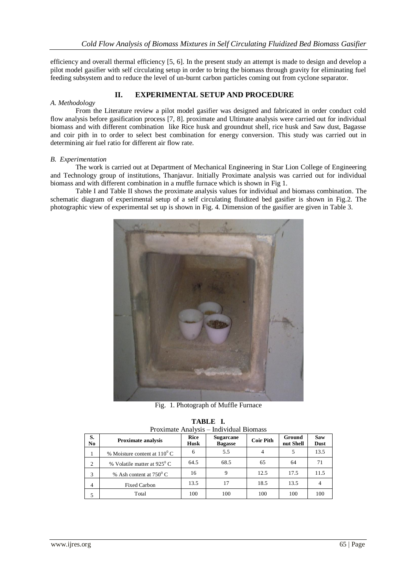efficiency and overall thermal efficiency [5, 6]. In the present study an attempt is made to design and develop a pilot model gasifier with self circulating setup in order to bring the biomass through gravity for eliminating fuel feeding subsystem and to reduce the level of un-burnt carbon particles coming out from cyclone separator.

## **II. EXPERIMENTAL SETUP AND PROCEDURE**

#### *A. Methodology*

From the Literature review a pilot model gasifier was designed and fabricated in order conduct cold flow analysis before gasification process [7, 8]. proximate and Ultimate analysis were carried out for individual biomass and with different combination like Rice husk and groundnut shell, rice husk and Saw dust, Bagasse and coir pith in to order to select best combination for energy conversion. This study was carried out in determining air fuel ratio for different air flow rate.

#### *B. Experimentation*

The work is carried out at Department of Mechanical Engineering in Star Lion College of Engineering and Technology group of institutions, Thanjavur. Initially Proximate analysis was carried out for individual biomass and with different combination in a muffle furnace which is shown in Fig 1.

Table I and Table II shows the proximate analysis values for individual and biomass combination. The schematic diagram of experimental setup of a self circulating fluidized bed gasifier is shown in Fig.2. The photographic view of experimental set up is shown in Fig. 4. Dimension of the gasifier are given in Table 3.



Fig. 1. Photograph of Muffle Furnace

| TABLE I.                                |
|-----------------------------------------|
| Proximate Analysis - Individual Biomass |

| TTOAIIIIHUU TYIHII YOID<br>marviada Divinass |                                       |                     |                                    |                  |                     |                           |  |  |
|----------------------------------------------|---------------------------------------|---------------------|------------------------------------|------------------|---------------------|---------------------------|--|--|
| S.<br>N <sub>0</sub>                         | <b>Proximate analysis</b>             | Rice<br><b>Husk</b> | <b>Sugarcane</b><br><b>Bagasse</b> | <b>Coir Pith</b> | Ground<br>nut Shell | <b>Saw</b><br><b>Dust</b> |  |  |
|                                              | % Moisture content at $110^{\circ}$ C | 6                   | 5.5                                |                  |                     | 13.5                      |  |  |
| $\overline{2}$                               | % Volatile matter at $925^{\circ}$ C  | 64.5                | 68.5                               | 65               | 64                  | 71                        |  |  |
| 3                                            | % Ash content at $750^{\circ}$ C      | 16                  | 9                                  | 12.5             | 17.5                | 11.5                      |  |  |
| 4                                            | <b>Fixed Carbon</b>                   | 13.5                |                                    | 18.5             | 13.5                |                           |  |  |
|                                              | Total                                 | 100                 | 100                                | 100              | 100                 | 100                       |  |  |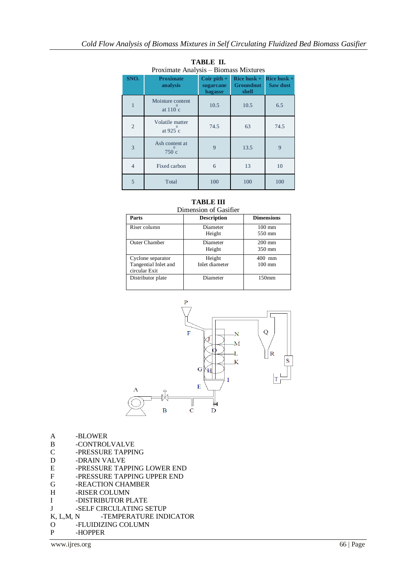| SNO.           | <b>Proximate</b><br>analysis | Coir pith $+$<br>sugarcane<br>bagasse | Rice husk $+$<br><b>Groundnut</b><br>shell | Rice husk $+$<br>Saw dust |
|----------------|------------------------------|---------------------------------------|--------------------------------------------|---------------------------|
| 1              | Moisture content<br>at 110 c | 10.5                                  | 10.5                                       | 6.5                       |
| $\overline{2}$ | Volatile matter<br>at 925 c  | 74.5                                  | 63                                         | 74.5                      |
| 3              | Ash content at<br>750 c      | 9                                     | 13.5                                       | $\mathbf Q$               |
| $\overline{4}$ | Fixed carbon                 | 6                                     | 13                                         | 10                        |
| $\overline{5}$ | Total                        | 100                                   | 100                                        | 100                       |

**TABLE II.** Proximate Analysis – Biomass Mixtures

# **TABLE III**

| Dimension of Gasifier                                      |                          |                               |  |  |  |  |  |
|------------------------------------------------------------|--------------------------|-------------------------------|--|--|--|--|--|
| Parts                                                      | <b>Description</b>       | <b>Dimensions</b>             |  |  |  |  |  |
| Riser column                                               | Diameter<br>Height       | $100 \text{ mm}$<br>550 mm    |  |  |  |  |  |
| Outer Chamber                                              | Diameter<br>Height       | $200$ mm<br>350 mm            |  |  |  |  |  |
| Cyclone separator<br>Tangential Inlet and<br>circular Exit | Height<br>Inlet diameter | 400<br>mm<br>$100 \text{ mm}$ |  |  |  |  |  |
| Distributor plate                                          | Diameter                 | 150 <sub>mm</sub>             |  |  |  |  |  |



- A -BLOWER
- B -CONTROLVALVE
- C -PRESSURE TAPPING
- D -DRAIN VALVE
- E -PRESSURE TAPPING LOWER END
- F -PRESSURE TAPPING UPPER END<br>G -REACTION CHAMBER
- -REACTION CHAMBER
- H -RISER COLUMN
- I -DISTRIBUTOR PLATE
- J -SELF CIRCULATING SETUP
- K, L,M, N -TEMPERATURE INDICATOR
- O -FLUIDIZING COLUMN
- P -HOPPER

www.ijres.org 66 | Page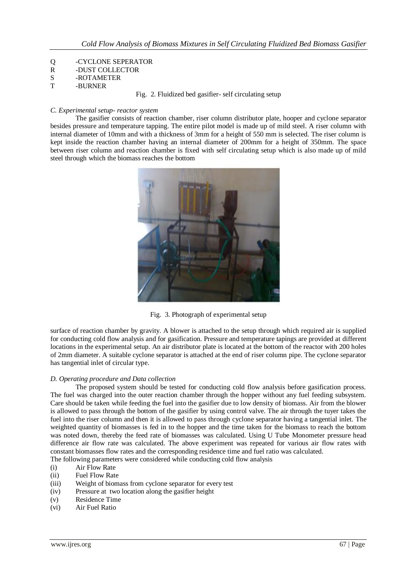- Q -CYCLONE SEPERATOR<br>R -DUST COLLECTOR
- -DUST COLLECTOR
- S -ROTAMETER T -BURNER
- Fig. 2. Fluidized bed gasifier- self circulating setup

#### *C. Experimental setup- reactor system*

The gasifier consists of reaction chamber, riser column distributor plate, hooper and cyclone separator besides pressure and temperature tapping. The entire pilot model is made up of mild steel. A riser column with internal diameter of 10mm and with a thickness of 3mm for a height of 550 mm is selected. The riser column is kept inside the reaction chamber having an internal diameter of 200mm for a height of 350mm. The space between riser column and reaction chamber is fixed with self circulating setup which is also made up of mild steel through which the biomass reaches the bottom



Fig. 3. Photograph of experimental setup

surface of reaction chamber by gravity. A blower is attached to the setup through which required air is supplied for conducting cold flow analysis and for gasification. Pressure and temperature tapings are provided at different locations in the experimental setup. An air distributor plate is located at the bottom of the reactor with 200 holes of 2mm diameter. A suitable cyclone separator is attached at the end of riser column pipe. The cyclone separator has tangential inlet of circular type.

#### *D. Operating procedure and Data collection*

The proposed system should be tested for conducting cold flow analysis before gasification process. The fuel was charged into the outer reaction chamber through the hopper without any fuel feeding subsystem. Care should be taken while feeding the fuel into the gasifier due to low density of biomass. Air from the blower is allowed to pass through the bottom of the gasifier by using control valve. The air through the tuyer takes the fuel into the riser column and then it is allowed to pass through cyclone separator having a tangential inlet. The weighted quantity of biomasses is fed in to the hopper and the time taken for the biomass to reach the bottom was noted down, thereby the feed rate of biomasses was calculated. Using U Tube Monometer pressure head difference air flow rate was calculated. The above experiment was repeated for various air flow rates with constant biomasses flow rates and the corresponding residence time and fuel ratio was calculated.

The following parameters were considered while conducting cold flow analysis

- (i) Air Flow Rate
- (ii) Fuel Flow Rate
- (iii) Weight of biomass from cyclone separator for every test
- (iv) Pressure at two location along the gasifier height
- (v) Residence Time
- (vi) Air Fuel Ratio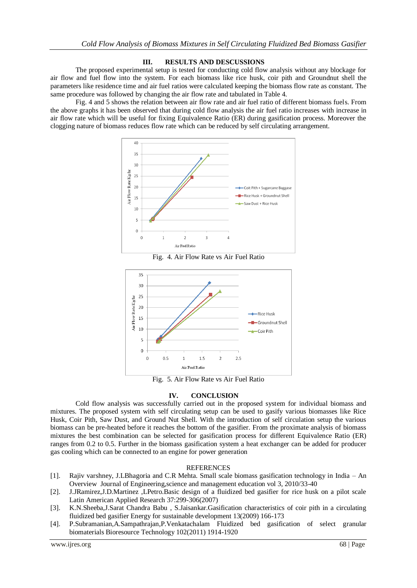#### **III. RESULTS AND DESCUSSIONS**

The proposed experimental setup is tested for conducting cold flow analysis without any blockage for air flow and fuel flow into the system. For each biomass like rice husk, coir pith and Groundnut shell the parameters like residence time and air fuel ratios were calculated keeping the biomass flow rate as constant. The same procedure was followed by changing the air flow rate and tabulated in Table 4.

Fig. 4 and 5 shows the relation between air flow rate and air fuel ratio of different biomass fuels. From the above graphs it has been observed that during cold flow analysis the air fuel ratio increases with increase in air flow rate which will be useful for fixing Equivalence Ratio (ER) during gasification process. Moreover the clogging nature of biomass reduces flow rate which can be reduced by self circulating arrangement.



Fig. 4. Air Flow Rate vs Air Fuel Ratio



Fig. 5. Air Flow Rate vs Air Fuel Ratio

### **IV. CONCLUSION**

Cold flow analysis was successfully carried out in the proposed system for individual biomass and mixtures. The proposed system with self circulating setup can be used to gasify various biomasses like Rice Husk, Coir Pith, Saw Dust, and Ground Nut Shell. With the introduction of self circulation setup the various biomass can be pre-heated before it reaches the bottom of the gasifier. From the proximate analysis of biomass mixtures the best combination can be selected for gasification process for different Equivalence Ratio (ER) ranges from 0.2 to 0.5. Further in the biomass gasification system a heat exchanger can be added for producer gas cooling which can be connected to an engine for power generation

### REFERENCES

- [1]. Rajiv varshney, J.LBhagoria and C.R Mehta. Small scale biomass gasification technology in India An Overview Journal of Engineering,science and management education vol 3, 2010/33-40
- [2]. J.JRamirez,J.D.Martinez ,LPetro.Basic design of a fluidized bed gasifier for rice husk on a pilot scale Latin American Applied Research 37:299-306(2007)
- [3]. K.N.Sheeba,J.Sarat Chandra Babu , S.Jaisankar.Gasification characteristics of coir pith in a circulating fluidized bed gasifier Energy for sustainable development 13(2009) 166-173
- [4]. P.Subramanian,A.Sampathrajan,P.Venkatachalam Fluidized bed gasification of select granular biomaterials Bioresource Technology 102(2011) 1914-1920